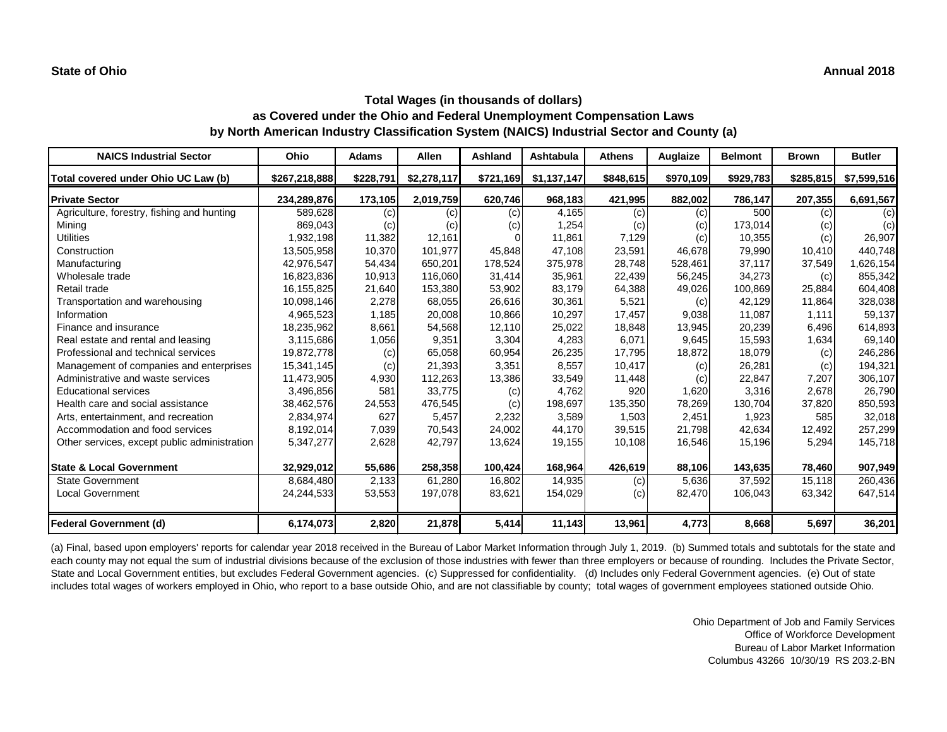#### **State of Ohio Annual 2018**

# **Total Wages (in thousands of dollars) as Covered under the Ohio and Federal Unemployment Compensation Laws by North American Industry Classification System (NAICS) Industrial Sector and County (a)**

| <b>NAICS Industrial Sector</b>               | Ohio          | <b>Adams</b> | <b>Allen</b> | <b>Ashland</b> | Ashtabula   | <b>Athens</b> | <b>Auglaize</b> | <b>Belmont</b> | <b>Brown</b> | <b>Butler</b> |
|----------------------------------------------|---------------|--------------|--------------|----------------|-------------|---------------|-----------------|----------------|--------------|---------------|
| Total covered under Ohio UC Law (b)          | \$267,218,888 | \$228,791    | \$2,278,117  | \$721,169      | \$1,137,147 | \$848,615     | \$970,109       | \$929,783      | \$285,815    | \$7,599,516   |
| <b>Private Sector</b>                        | 234,289,876   | 173,105      | 2,019,759    | 620,746        | 968,183     | 421,995       | 882,002         | 786,147        | 207,355      | 6,691,567     |
| Agriculture, forestry, fishing and hunting   | 589,628       | (c)          | (c)          | (c)            | 4,165       | (c)           | (c)             | 500            | (c)          | (c)           |
| Mining                                       | 869,043       | (c)          | (c)          | (c)            | 1,254       | (c)           | (c)             | 173,014        | (c)          | (c)           |
| <b>Utilities</b>                             | 1,932,198     | 11,382       | 12,161       |                | 11,861      | 7,129         | (c)             | 10,355         | (c)          | 26,907        |
| Construction                                 | 13,505,958    | 10,370       | 101,977      | 45,848         | 47,108      | 23,591        | 46,678          | 79,990         | 10,410       | 440,748       |
| Manufacturing                                | 42,976,547    | 54,434       | 650,201      | 178,524        | 375,978     | 28,748        | 528,461         | 37,117         | 37,549       | 1,626,154     |
| Wholesale trade                              | 16,823,836    | 10,913       | 116,060      | 31,414         | 35,961      | 22,439        | 56,245          | 34,273         | (c)          | 855,342       |
| Retail trade                                 | 16,155,825    | 21,640       | 153,380      | 53,902         | 83,179      | 64,388        | 49,026          | 100,869        | 25,884       | 604,408       |
| Transportation and warehousing               | 10,098,146    | 2,278        | 68,055       | 26,616         | 30,361      | 5,521         | (c)             | 42,129         | 11,864       | 328,038       |
| Information                                  | 4,965,523     | 1,185        | 20,008       | 10,866         | 10,297      | 17,457        | 9,038           | 11,087         | 1,111        | 59,137        |
| Finance and insurance                        | 18,235,962    | 8,661        | 54,568       | 12,110         | 25,022      | 18,848        | 13,945          | 20,239         | 6,496        | 614,893       |
| Real estate and rental and leasing           | 3,115,686     | 1,056        | 9,351        | 3,304          | 4,283       | 6,071         | 9,645           | 15,593         | 1,634        | 69,140        |
| Professional and technical services          | 19,872,778    | (c)          | 65,058       | 60,954         | 26,235      | 17,795        | 18,872          | 18,079         | (c)          | 246,286       |
| Management of companies and enterprises      | 15,341,145    | (c)          | 21,393       | 3,351          | 8,557       | 10,417        | (c)             | 26,281         | (c)          | 194,321       |
| Administrative and waste services            | 11,473,905    | 4,930        | 112,263      | 13,386         | 33,549      | 11,448        | (c)             | 22,847         | 7,207        | 306,107       |
| Educational services                         | 3,496,856     | 581          | 33,775       | (c)            | 4,762       | 920           | 1,620           | 3,316          | 2,678        | 26,790        |
| Health care and social assistance            | 38,462,576    | 24,553       | 476,545      | (c)            | 198,697     | 135,350       | 78,269          | 130,704        | 37,820       | 850,593       |
| Arts, entertainment, and recreation          | 2,834,974     | 627          | 5,457        | 2,232          | 3,589       | 1,503         | 2,451           | 1,923          | 585          | 32,018        |
| Accommodation and food services              | 8,192,014     | 7,039        | 70,543       | 24,002         | 44,170      | 39,515        | 21,798          | 42,634         | 12,492       | 257,299       |
| Other services, except public administration | 5,347,277     | 2,628        | 42,797       | 13,624         | 19,155      | 10,108        | 16,546          | 15,196         | 5,294        | 145,718       |
| <b>State &amp; Local Government</b>          | 32,929,012    | 55,686       | 258,358      | 100,424        | 168,964     | 426,619       | 88,106          | 143,635        | 78,460       | 907,949       |
| <b>State Government</b>                      | 8,684,480     | 2,133        | 61,280       | 16,802         | 14,935      | (c)           | 5,636           | 37,592         | 15,118       | 260,436       |
| <b>Local Government</b>                      | 24,244,533    | 53,553       | 197,078      | 83,621         | 154,029     | (c)           | 82,470          | 106,043        | 63,342       | 647,514       |
| Federal Government (d)                       | 6,174,073     | 2,820        | 21,878       | 5,414          | 11,143      | 13,961        | 4,773           | 8,668          | 5,697        | 36,201        |

(a) Final, based upon employers' reports for calendar year 2018 received in the Bureau of Labor Market Information through July 1, 2019. (b) Summed totals and subtotals for the state and each county may not equal the sum of industrial divisions because of the exclusion of those industries with fewer than three employers or because of rounding. Includes the Private Sector, State and Local Government entities, but excludes Federal Government agencies. (c) Suppressed for confidentiality. (d) Includes only Federal Government agencies. (e) Out of state includes total wages of workers employed in Ohio, who report to a base outside Ohio, and are not classifiable by county; total wages of government employees stationed outside Ohio.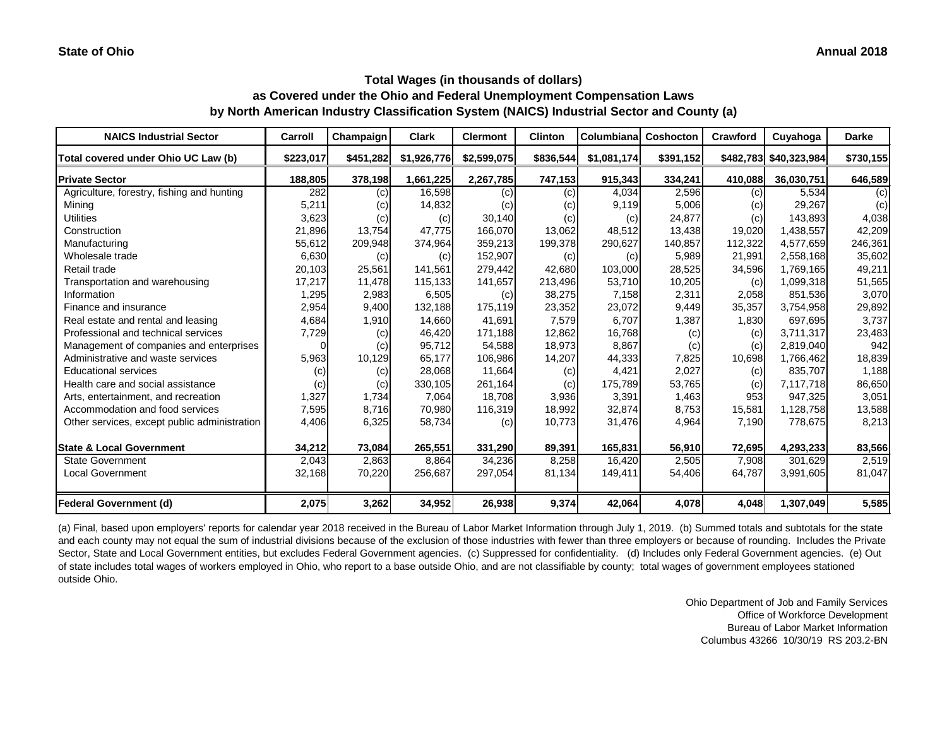| <b>NAICS Industrial Sector</b>               | Carroll   | Champaign | <b>Clark</b> | <b>Clermont</b> | <b>Clinton</b> | Columbiana  | <b>Coshocton</b> | <b>Crawford</b> | Cuyahoga               | <b>Darke</b> |
|----------------------------------------------|-----------|-----------|--------------|-----------------|----------------|-------------|------------------|-----------------|------------------------|--------------|
| Total covered under Ohio UC Law (b)          | \$223,017 | \$451,282 | \$1,926,776  | \$2,599,075     | \$836,544      | \$1,081,174 | \$391,152        |                 | \$482,783 \$40,323,984 | \$730,155    |
| <b>Private Sector</b>                        | 188,805   | 378,198   | 1,661,225    | 2,267,785       | 747,153        | 915,343     | 334,241          | 410,088         | 36,030,751             | 646,589      |
| Agriculture, forestry, fishing and hunting   | 282       | (c)       | 16,598       | (c)             | (c)            | 4,034       | 2,596            | (c)             | 5,534                  | (c)          |
| Mining                                       | 5,211     | (c)       | 14,832       | (c)             | (c)            | 9,119       | 5,006            | (c)             | 29,267                 | (c)          |
| <b>Utilities</b>                             | 3,623     | (c)       | (c)          | 30,140          | (c)            | (c)         | 24,877           | (c)             | 143,893                | 4,038        |
| Construction                                 | 21,896    | 13,754    | 47,775       | 166,070         | 13,062         | 48,512      | 13,438           | 19,020          | 1,438,557              | 42,209       |
| Manufacturing                                | 55,612    | 209,948   | 374,964      | 359,213         | 199,378        | 290,627     | 140,857          | 112,322         | 4,577,659              | 246,361      |
| Wholesale trade                              | 6,630     | (c)       | (c)          | 152,907         | (c)            | (c)         | 5,989            | 21,991          | 2,558,168              | 35,602       |
| Retail trade                                 | 20,103    | 25,561    | 141,561      | 279,442         | 42,680         | 103,000     | 28,525           | 34,596          | 1,769,165              | 49,211       |
| Transportation and warehousing               | 17,217    | 11,478    | 115,133      | 141,657         | 213,496        | 53,710      | 10,205           | (c)             | 1,099,318              | 51,565       |
| Information                                  | 1,295     | 2,983     | 6,505        | (c)             | 38,275         | 7,158       | 2,311            | 2,058           | 851,536                | 3,070        |
| Finance and insurance                        | 2,954     | 9,400     | 132,188      | 175,119         | 23,352         | 23,072      | 9,449            | 35,357          | 3,754,958              | 29,892       |
| Real estate and rental and leasing           | 4,684     | 1,910     | 14,660       | 41,691          | 7,579          | 6,707       | 1,387            | 1,830           | 697,695                | 3,737        |
| Professional and technical services          | 7,729     | (c)       | 46,420       | 171,188         | 12,862         | 16,768      | (c)              | (c)             | 3,711,317              | 23,483       |
| Management of companies and enterprises      | 0         | (c)       | 95,712       | 54,588          | 18,973         | 8,867       | (c)              | (c)             | 2,819,040              | 942          |
| Administrative and waste services            | 5,963     | 10,129    | 65,177       | 106,986         | 14,207         | 44,333      | 7,825            | 10,698          | 1,766,462              | 18,839       |
| <b>Educational services</b>                  | (c)       | (c)       | 28,068       | 11,664          | (c)            | 4,421       | 2,027            | (c)             | 835,707                | 1,188        |
| Health care and social assistance            | (c)       | (c)       | 330,105      | 261,164         | (c)            | 175,789     | 53,765           | (c)             | 7,117,718              | 86,650       |
| Arts, entertainment, and recreation          | 1,327     | 1,734     | 7,064        | 18,708          | 3,936          | 3,391       | 1,463            | 953             | 947,325                | 3,051        |
| Accommodation and food services              | 7,595     | 8,716     | 70,980       | 116,319         | 18,992         | 32,874      | 8,753            | 15,581          | 1,128,758              | 13,588       |
| Other services, except public administration | 4,406     | 6,325     | 58,734       | (c)             | 10,773         | 31,476      | 4,964            | 7,190           | 778,675                | 8,213        |
| <b>State &amp; Local Government</b>          | 34,212    | 73,084    | 265,551      | 331,290         | 89,391         | 165,831     | 56,910           | 72,695          | 4,293,233              | 83,566       |
| <b>State Government</b>                      | 2,043     | 2,863     | 8,864        | 34,236          | 8,258          | 16,420      | 2,505            | 7,908           | 301,629                | 2,519        |
| <b>Local Government</b>                      | 32,168    | 70,220    | 256,687      | 297,054         | 81,134         | 149,411     | 54,406           | 64,787          | 3,991,605              | 81,047       |
| Federal Government (d)                       | 2,075     | 3,262     | 34,952       | 26,938          | 9,374          | 42,064      | 4,078            | 4,048           | 1,307,049              | 5,585        |

(a) Final, based upon employers' reports for calendar year 2018 received in the Bureau of Labor Market Information through July 1, 2019. (b) Summed totals and subtotals for the state and each county may not equal the sum of industrial divisions because of the exclusion of those industries with fewer than three employers or because of rounding. Includes the Private Sector, State and Local Government entities, but excludes Federal Government agencies. (c) Suppressed for confidentiality. (d) Includes only Federal Government agencies. (e) Out of state includes total wages of workers employed in Ohio, who report to a base outside Ohio, and are not classifiable by county; total wages of government employees stationed outside Ohio.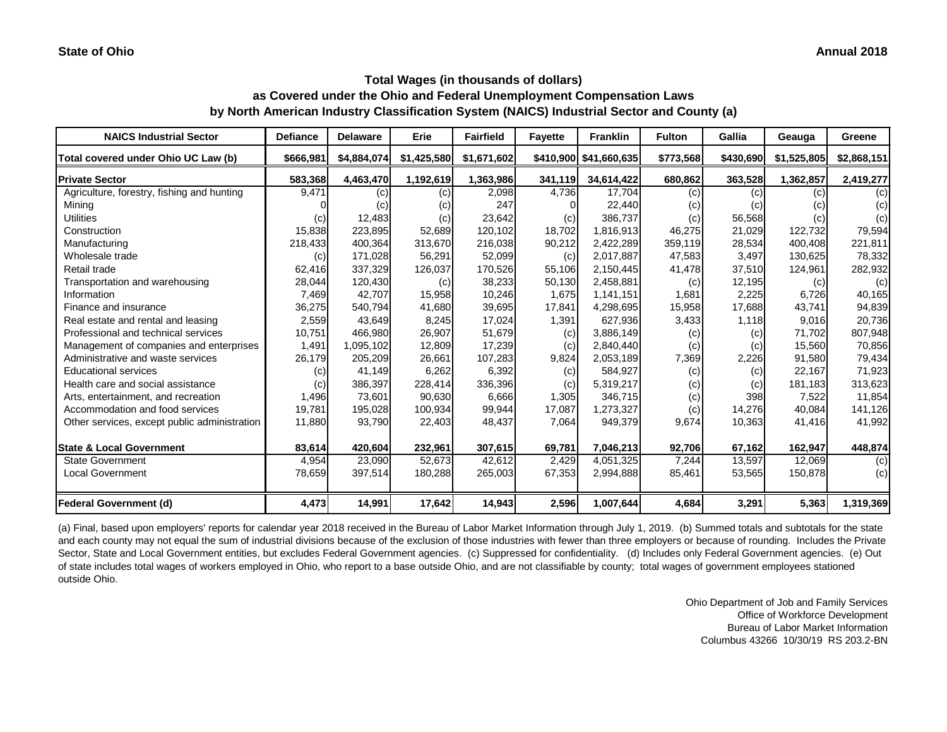| <b>NAICS Industrial Sector</b>               | <b>Defiance</b> | <b>Delaware</b> | Erie        | <b>Fairfield</b> | <b>Fayette</b>             | <b>Franklin</b>        | <b>Fulton</b> | Gallia    | Geauga      | Greene      |
|----------------------------------------------|-----------------|-----------------|-------------|------------------|----------------------------|------------------------|---------------|-----------|-------------|-------------|
| Total covered under Ohio UC Law (b)          | \$666,981       | \$4,884,074     | \$1,425,580 | \$1,671,602      |                            | \$410,900 \$41,660,635 | \$773,568     | \$430,690 | \$1,525,805 | \$2,868,151 |
| <b>Private Sector</b>                        | 583,368         | 4,463,470       | 1,192,619   | 1,363,986        | 341,119                    | 34,614,422             | 680,862       | 363,528   | 1,362,857   | 2,419,277   |
| Agriculture, forestry, fishing and hunting   | 9,471           | (c)             | (c)         | 2,098            | 4,736                      | 17,704                 | (c)           | (c)       | (c)         | (c)         |
| Mining                                       |                 | (c)             | (c)         | 247              |                            | 22,440                 | (c)           | (c)       | (c)         | (c)         |
| <b>Utilities</b>                             | (c)             | 12,483          | (c)         | 23,642           | $\left( \mathrm{c}\right)$ | 386,737                | (c)           | 56,568    | (c)         | (c)         |
| Construction                                 | 15,838          | 223,895         | 52,689      | 120,102          | 18,702                     | 1,816,913              | 46,275        | 21,029    | 122,732     | 79,594      |
| Manufacturing                                | 218,433         | 400,364         | 313,670     | 216,038          | 90,212                     | 2,422,289              | 359,119       | 28,534    | 400,408     | 221,811     |
| Wholesale trade                              | (c)             | 171,028         | 56,291      | 52,099           | (c)                        | 2,017,887              | 47,583        | 3,497     | 130,625     | 78,332      |
| Retail trade                                 | 62,416          | 337,329         | 126,037     | 170,526          | 55,106                     | 2,150,445              | 41,478        | 37,510    | 124,961     | 282,932     |
| Transportation and warehousing               | 28,044          | 120,430         | (c)         | 38,233           | 50,130                     | 2,458,881              | (c)           | 12,195    | (c)         | (c)         |
| Information                                  | 7,469           | 42,707          | 15,958      | 10,246           | 1,675                      | 1,141,151              | 1,681         | 2,225     | 6,726       | 40,165      |
| Finance and insurance                        | 36,275          | 540,794         | 41,680      | 39,695           | 17,841                     | 4,298,695              | 15,958        | 17,688    | 43,741      | 94,839      |
| Real estate and rental and leasing           | 2,559           | 43,649          | 8,245       | 17,024           | 1,391                      | 627,936                | 3,433         | 1,118     | 9,016       | 20,736      |
| Professional and technical services          | 10,751          | 466,980         | 26,907      | 51,679           | (c)                        | 3,886,149              | (c)           | (c)       | 71,702      | 807,948     |
| Management of companies and enterprises      | 1,491           | 1,095,102       | 12,809      | 17,239           | (c)                        | 2,840,440              | (c)           | (c)       | 15,560      | 70,856      |
| Administrative and waste services            | 26,179          | 205,209         | 26,661      | 107,283          | 9,824                      | 2,053,189              | 7,369         | 2,226     | 91,580      | 79,434      |
| <b>Educational services</b>                  | (c)             | 41,149          | 6,262       | 6,392            | (c)                        | 584,927                | (c)           | (c)       | 22,167      | 71,923      |
| Health care and social assistance            | (c)             | 386,397         | 228,414     | 336,396          | (c)                        | 5,319,217              | (c)           | (c)       | 181,183     | 313,623     |
| Arts, entertainment, and recreation          | 1,496           | 73,601          | 90,630      | 6,666            | 1,305                      | 346,715                | (c)           | 398       | 7,522       | 11,854      |
| Accommodation and food services              | 19,781          | 195,028         | 100,934     | 99,944           | 17,087                     | 1,273,327              | (c)           | 14,276    | 40,084      | 141,126     |
| Other services, except public administration | 11,880          | 93,790          | 22,403      | 48,437           | 7,064                      | 949,379                | 9,674         | 10,363    | 41,416      | 41,992      |
| <b>State &amp; Local Government</b>          | 83,614          | 420,604         | 232,961     | 307,615          | 69,781                     | 7,046,213              | 92,706        | 67,162    | 162,947     | 448,874     |
| <b>State Government</b>                      | 4,954           | 23,090          | 52,673      | 42,612           | 2,429                      | 4,051,325              | 7,244         | 13,597    | 12,069      | (c)         |
| <b>Local Government</b>                      | 78,659          | 397,514         | 180,288     | 265,003          | 67,353                     | 2,994,888              | 85,461        | 53,565    | 150,878     | (c)         |
| Federal Government (d)                       | 4,473           | 14,991          | 17,642      | 14,943           | 2,596                      | 1,007,644              | 4,684         | 3,291     | 5,363       | 1,319,369   |

(a) Final, based upon employers' reports for calendar year 2018 received in the Bureau of Labor Market Information through July 1, 2019. (b) Summed totals and subtotals for the state and each county may not equal the sum of industrial divisions because of the exclusion of those industries with fewer than three employers or because of rounding. Includes the Private Sector, State and Local Government entities, but excludes Federal Government agencies. (c) Suppressed for confidentiality. (d) Includes only Federal Government agencies. (e) Out of state includes total wages of workers employed in Ohio, who report to a base outside Ohio, and are not classifiable by county; total wages of government employees stationed outside Ohio.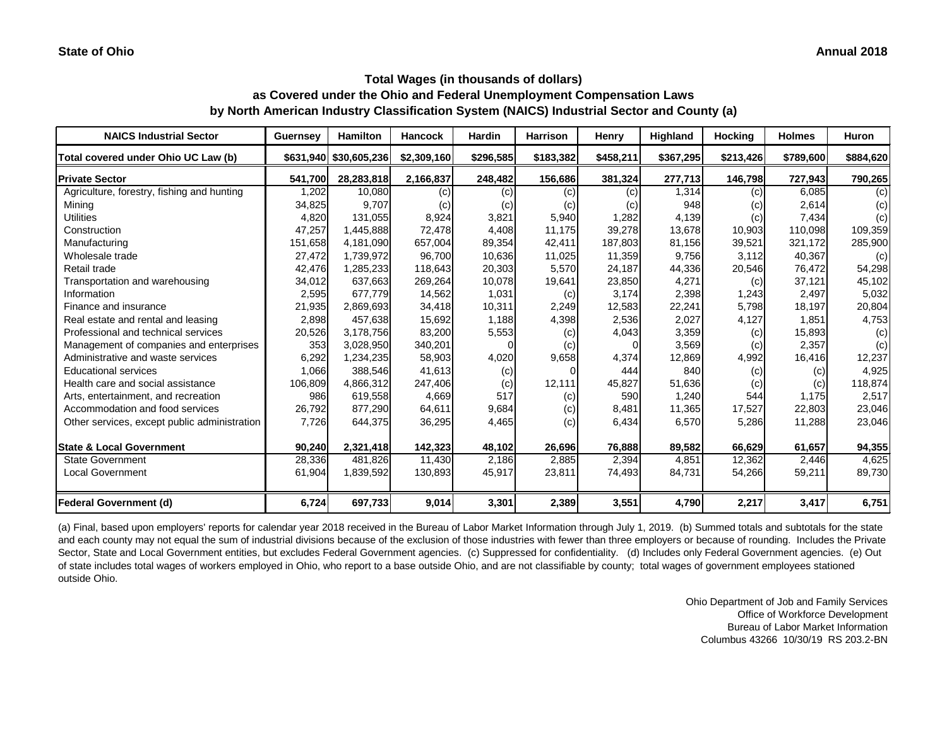| <b>NAICS Industrial Sector</b>               | <b>Guernsey</b> | <b>Hamilton</b>        | <b>Hancock</b> | <b>Hardin</b> | Harrison  | <b>Henry</b> | Highland  | <b>Hocking</b> | <b>Holmes</b> | <b>Huron</b> |
|----------------------------------------------|-----------------|------------------------|----------------|---------------|-----------|--------------|-----------|----------------|---------------|--------------|
| Total covered under Ohio UC Law (b)          |                 | \$631,940 \$30,605,236 | \$2,309,160    | \$296,585     | \$183,382 | \$458,211    | \$367,295 | \$213,426      | \$789,600     | \$884,620    |
| <b>Private Sector</b>                        | 541,700         | 28,283,818             | 2,166,837      | 248,482       | 156,686   | 381,324      | 277,713   | 146,798        | 727,943       | 790,265      |
| Agriculture, forestry, fishing and hunting   | ,202            | 10,080                 | (c)            | (c)           | (c)       | (c)          | 1,314     | (c)            | 6,085         | (c)          |
| Mining                                       | 34,825          | 9,707                  | (c)            | (c)           | (c)       | (C)          | 948       | (c)            | 2,614         | (c)          |
| <b>Utilities</b>                             | 4,820           | 131,055                | 8,924          | 3,821         | 5,940     | 1,282        | 4,139     | (c)            | 7,434         | (c)          |
| Construction                                 | 47,257          | 1,445,888              | 72,478         | 4,408         | 11,175    | 39,278       | 13,678    | 10,903         | 110,098       | 109,359      |
| Manufacturing                                | 151,658         | 4,181,090              | 657,004        | 89,354        | 42,411    | 187,803      | 81,156    | 39,521         | 321,172       | 285,900      |
| Wholesale trade                              | 27,472          | 1,739,972              | 96,700         | 10,636        | 11,025    | 11,359       | 9,756     | 3,112          | 40,367        | (c)          |
| Retail trade                                 | 42,476          | 1,285,233              | 118,643        | 20,303        | 5,570     | 24,187       | 44,336    | 20,546         | 76,472        | 54,298       |
| Transportation and warehousing               | 34,012          | 637,663                | 269,264        | 10,078        | 19,641    | 23,850       | 4,271     | (c)            | 37,121        | 45,102       |
| Information                                  | 2,595           | 677,779                | 14,562         | 1,031         | (c)       | 3,174        | 2,398     | 1,243          | 2,497         | 5,032        |
| Finance and insurance                        | 21,935          | 2,869,693              | 34,418         | 10,311        | 2,249     | 12,583       | 22,241    | 5,798          | 18,197        | 20,804       |
| Real estate and rental and leasing           | 2,898           | 457,638                | 15,692         | 1,188         | 4,398     | 2,536        | 2,027     | 4,127          | 1,851         | 4,753        |
| Professional and technical services          | 20,526          | 3,178,756              | 83,200         | 5,553         | (c)       | 4,043        | 3,359     | (c)            | 15,893        | (c)          |
| Management of companies and enterprises      | 353             | 3,028,950              | 340,201        |               | (c)       |              | 3,569     | (c)            | 2,357         | (c)          |
| Administrative and waste services            | 6,292           | 1,234,235              | 58,903         | 4,020         | 9,658     | 4,374        | 12,869    | 4,992          | 16,416        | 12,237       |
| <b>Educational services</b>                  | 1,066           | 388,546                | 41,613         | (c)           |           | 444          | 840       | (c)            | (c)           | 4,925        |
| Health care and social assistance            | 106,809         | 4,866,312              | 247,406        | (c)           | 12,111    | 45,827       | 51,636    | (c)            | (c)           | 118,874      |
| Arts, entertainment, and recreation          | 986             | 619,558                | 4,669          | 517           | (c)       | 590          | 1,240     | 544            | 1,175         | 2,517        |
| Accommodation and food services              | 26,792          | 877,290                | 64,611         | 9,684         | (c)       | 8,481        | 11,365    | 17,527         | 22,803        | 23,046       |
| Other services, except public administration | 7,726           | 644,375                | 36,295         | 4,465         | (c)       | 6,434        | 6,570     | 5,286          | 11,288        | 23,046       |
| <b>State &amp; Local Government</b>          | 90,240          | 2,321,418              | 142,323        | 48,102        | 26,696    | 76,888       | 89,582    | 66,629         | 61,657        | 94,355       |
| <b>State Government</b>                      | 28,336          | 481,826                | 11,430         | 2,186         | 2,885     | 2,394        | 4,851     | 12,362         | 2,446         | 4,625        |
| <b>Local Government</b>                      | 61,904          | 1,839,592              | 130,893        | 45,917        | 23,811    | 74,493       | 84,731    | 54,266         | 59,211        | 89,730       |
| Federal Government (d)                       | 6,724           | 697,733                | 9,014          | 3,301         | 2,389     | 3,551        | 4,790     | 2,217          | 3,417         | 6,751        |

(a) Final, based upon employers' reports for calendar year 2018 received in the Bureau of Labor Market Information through July 1, 2019. (b) Summed totals and subtotals for the state and each county may not equal the sum of industrial divisions because of the exclusion of those industries with fewer than three employers or because of rounding. Includes the Private Sector, State and Local Government entities, but excludes Federal Government agencies. (c) Suppressed for confidentiality. (d) Includes only Federal Government agencies. (e) Out of state includes total wages of workers employed in Ohio, who report to a base outside Ohio, and are not classifiable by county; total wages of government employees stationed outside Ohio.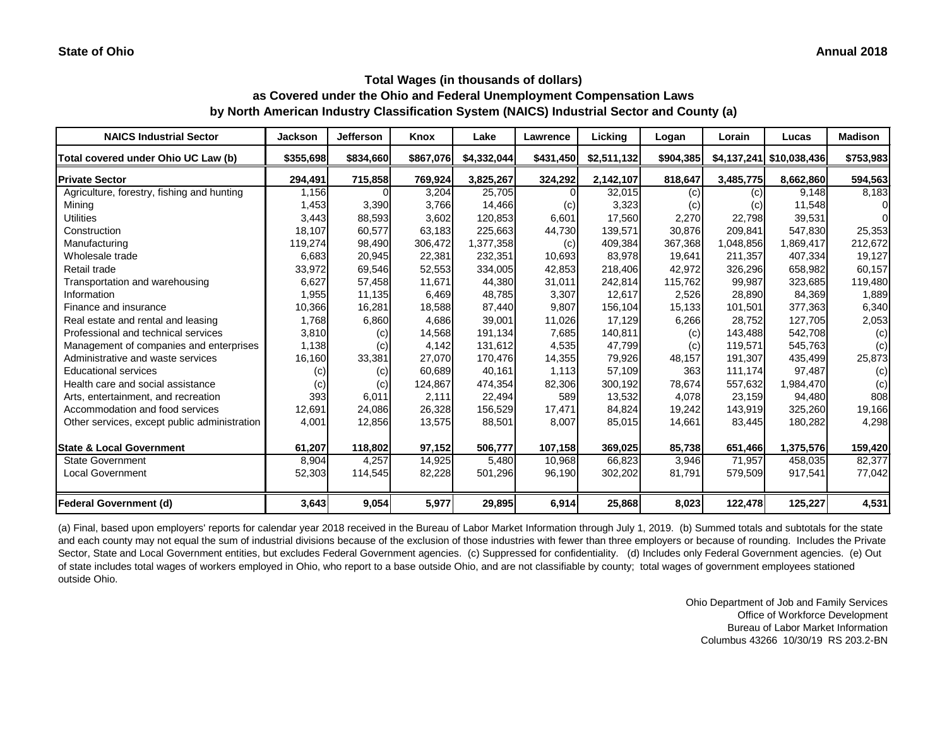| <b>NAICS Industrial Sector</b>               | <b>Jackson</b> | <b>Jefferson</b> | Knox      | Lake        | <b>Lawrence</b> | Licking     | Logan     | Lorain    | Lucas                    | <b>Madison</b> |
|----------------------------------------------|----------------|------------------|-----------|-------------|-----------------|-------------|-----------|-----------|--------------------------|----------------|
| Total covered under Ohio UC Law (b)          | \$355,698      | \$834,660        | \$867,076 | \$4,332,044 | \$431,450       | \$2,511,132 | \$904,385 |           | \$4,137,241 \$10,038,436 | \$753,983      |
| <b>Private Sector</b>                        | 294,491        | 715,858          | 769,924   | 3,825,267   | 324,292         | 2,142,107   | 818,647   | 3,485,775 | 8,662,860                | 594,563        |
| Agriculture, forestry, fishing and hunting   | 1,156          |                  | 3,204     | 25,705      |                 | 32,015      | (c)       | (c)       | 9,148                    | 8,183          |
| Mining                                       | 1,453          | 3,390            | 3,766     | 14,466      | (c)             | 3,323       | (c)       | (c)       | 11,548                   | $\Omega$       |
| <b>Utilities</b>                             | 3,443          | 88,593           | 3,602     | 120,853     | 6,601           | 17,560      | 2,270     | 22,798    | 39,531                   | $\Omega$       |
| Construction                                 | 18,107         | 60,577           | 63,183    | 225,663     | 44,730          | 139,571     | 30,876    | 209,841   | 547,830                  | 25,353         |
| Manufacturing                                | 119,274        | 98,490           | 306,472   | 1,377,358   | (c)             | 409,384     | 367,368   | 1,048,856 | 1,869,417                | 212,672        |
| Wholesale trade                              | 6,683          | 20,945           | 22,381    | 232,351     | 10,693          | 83,978      | 19,641    | 211,357   | 407,334                  | 19,127         |
| Retail trade                                 | 33,972         | 69,546           | 52,553    | 334,005     | 42,853          | 218,406     | 42,972    | 326,296   | 658,982                  | 60,157         |
| Transportation and warehousing               | 6,627          | 57,458           | 11,671    | 44,380      | 31,011          | 242,814     | 115,762   | 99,987    | 323,685                  | 119,480        |
| Information                                  | 1,955          | 11,135           | 6,469     | 48,785      | 3,307           | 12,617      | 2,526     | 28,890    | 84,369                   | 1,889          |
| Finance and insurance                        | 10,366         | 16,281           | 18,588    | 87,440      | 9,807           | 156,104     | 15,133    | 101,501   | 377,363                  | 6,340          |
| Real estate and rental and leasing           | 1,768          | 6,860            | 4,686     | 39,001      | 11,026          | 17,129      | 6,266     | 28,752    | 127,705                  | 2,053          |
| Professional and technical services          | 3,810          | (c)              | 14,568    | 191,134     | 7,685           | 140,811     | (c)       | 143,488   | 542,708                  | (c)            |
| Management of companies and enterprises      | 1,138          | (c)              | 4,142     | 131,612     | 4,535           | 47,799      | (c)       | 119,571   | 545,763                  | (c)            |
| Administrative and waste services            | 16,160         | 33,381           | 27,070    | 170,476     | 14,355          | 79,926      | 48,157    | 191,307   | 435,499                  | 25,873         |
| <b>Educational services</b>                  | (c)            | (c)              | 60,689    | 40,161      | 1,113           | 57,109      | 363       | 111,174   | 97,487                   | (c)            |
| Health care and social assistance            | (c)            | (c)              | 124,867   | 474,354     | 82,306          | 300,192     | 78,674    | 557,632   | 1,984,470                | (c)            |
| Arts, entertainment, and recreation          | 393            | 6,011            | 2,111     | 22,494      | 589             | 13,532      | 4,078     | 23,159    | 94,480                   | 808            |
| Accommodation and food services              | 12,691         | 24,086           | 26,328    | 156,529     | 17,471          | 84,824      | 19,242    | 143,919   | 325,260                  | 19,166         |
| Other services, except public administration | 4,001          | 12,856           | 13,575    | 88,501      | 8,007           | 85,015      | 14,661    | 83,445    | 180,282                  | 4,298          |
| <b>State &amp; Local Government</b>          | 61,207         | 118,802          | 97,152    | 506,777     | 107,158         | 369,025     | 85,738    | 651,466   | 1,375,576                | 159,420        |
| <b>State Government</b>                      | 8,904          | 4,257            | 14,925    | 5,480       | 10,968          | 66,823      | 3,946     | 71,957    | 458,035                  | 82,377         |
| <b>Local Government</b>                      | 52,303         | 114,545          | 82,228    | 501,296     | 96,190          | 302,202     | 81,791    | 579,509   | 917,541                  | 77,042         |
| Federal Government (d)                       | 3,643          | 9,054            | 5,977     | 29,895      | 6,914           | 25,868      | 8,023     | 122,478   | 125,227                  | 4,531          |

(a) Final, based upon employers' reports for calendar year 2018 received in the Bureau of Labor Market Information through July 1, 2019. (b) Summed totals and subtotals for the state and each county may not equal the sum of industrial divisions because of the exclusion of those industries with fewer than three employers or because of rounding. Includes the Private Sector, State and Local Government entities, but excludes Federal Government agencies. (c) Suppressed for confidentiality. (d) Includes only Federal Government agencies. (e) Out of state includes total wages of workers employed in Ohio, who report to a base outside Ohio, and are not classifiable by county; total wages of government employees stationed outside Ohio.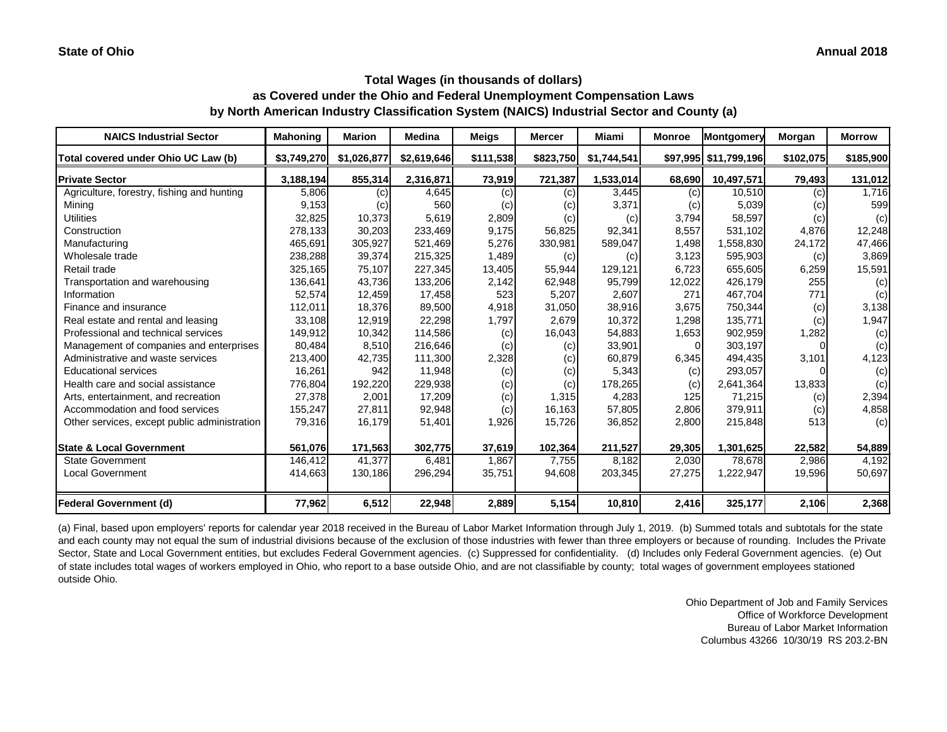| <b>NAICS Industrial Sector</b>               | <b>Mahoning</b> | <b>Marion</b> | <b>Medina</b> | <b>Meigs</b> | <b>Mercer</b> | Miami       | <b>Monroe</b>  | Montgomery              | Morgan    | <b>Morrow</b> |
|----------------------------------------------|-----------------|---------------|---------------|--------------|---------------|-------------|----------------|-------------------------|-----------|---------------|
| Total covered under Ohio UC Law (b)          | \$3,749,270     | \$1,026,877   | \$2,619,646   | \$111,538    | \$823,750     | \$1,744,541 |                | \$97,995   \$11,799,196 | \$102,075 | \$185,900     |
| <b>Private Sector</b>                        | 3,188,194       | 855,314       | 2,316,871     | 73,919       | 721,387       | 1,533,014   | 68,690         | 10,497,571              | 79,493    | 131,012       |
| Agriculture, forestry, fishing and hunting   | 5,806           | (c)           | 4,645         | (c)          | (c)           | 3,445       | (c)            | 10,510                  | (c)       | 1,716         |
| Mining                                       | 9,153           | (c)           | 560           | (c)          | (c)           | 3,371       | (c)            | 5,039                   | (c)       | 599           |
| <b>Utilities</b>                             | 32,825          | 10,373        | 5,619         | 2,809        | (c)           | (c)         | 3,794          | 58,597                  | (c)       | (c)           |
| Construction                                 | 278,133         | 30,203        | 233,469       | 9,175        | 56,825        | 92,341      | 8,557          | 531,102                 | 4,876     | 12,248        |
| Manufacturing                                | 465,691         | 305,927       | 521,469       | 5,276        | 330,981       | 589,047     | 1,498          | 1,558,830               | 24,172    | 47,466        |
| Wholesale trade                              | 238,288         | 39,374        | 215,325       | 1,489        | (c)           | (c)         | 3,123          | 595,903                 | (c)       | 3,869         |
| Retail trade                                 | 325,165         | 75,107        | 227,345       | 13,405       | 55,944        | 129,121     | 6,723          | 655,605                 | 6,259     | 15,591        |
| Transportation and warehousing               | 136,641         | 43,736        | 133,206       | 2,142        | 62,948        | 95,799      | 12,022         | 426,179                 | 255       | (c)           |
| Information                                  | 52,574          | 12,459        | 17,458        | 523          | 5,207         | 2,607       | 271            | 467,704                 | 771       | (c)           |
| Finance and insurance                        | 112,011         | 18,376        | 89,500        | 4,918        | 31,050        | 38,916      | 3,675          | 750,344                 | (c)       | 3,138         |
| Real estate and rental and leasing           | 33,108          | 12,919        | 22,298        | 1,797        | 2,679         | 10,372      | 1,298          | 135,771                 | (c)       | 1,947         |
| Professional and technical services          | 149,912         | 10,342        | 114,586       | (c)          | 16,043        | 54,883      | 1,653          | 902,959                 | 1,282     | (c)           |
| Management of companies and enterprises      | 80,484          | 8,510         | 216,646       | (c)          | (c)           | 33,901      | $\overline{0}$ | 303,197                 |           | (c)           |
| Administrative and waste services            | 213,400         | 42,735        | 111,300       | 2,328        | (c)           | 60,879      | 6,345          | 494,435                 | 3,101     | 4,123         |
| <b>Educational services</b>                  | 16,261          | 942           | 11,948        | (c)          | (c)           | 5,343       | (c)            | 293,057                 |           | (c)           |
| Health care and social assistance            | 776,804         | 192,220       | 229,938       | (c)          | (c)           | 178,265     | (c)            | 2,641,364               | 13,833    | (c)           |
| Arts, entertainment, and recreation          | 27,378          | 2,001         | 17,209        | (c)          | 1,315         | 4,283       | 125            | 71,215                  | (c)       | 2,394         |
| Accommodation and food services              | 155,247         | 27,811        | 92,948        | (c)          | 16,163        | 57,805      | 2,806          | 379,911                 | (c)       | 4,858         |
| Other services, except public administration | 79,316          | 16,179        | 51,401        | 1,926        | 15,726        | 36,852      | 2,800          | 215,848                 | 513       | (c)           |
| <b>State &amp; Local Government</b>          | 561,076         | 171,563       | 302,775       | 37,619       | 102,364       | 211,527     | 29,305         | 1,301,625               | 22,582    | 54,889        |
| <b>State Government</b>                      | 146,412         | 41,377        | 6,481         | 1,867        | 7,755         | 8,182       | 2,030          | 78,678                  | 2,986     | 4,192         |
| <b>Local Government</b>                      | 414,663         | 130,186       | 296,294       | 35,751       | 94,608        | 203,345     | 27,275         | 1,222,947               | 19,596    | 50,697        |
| Federal Government (d)                       | 77,962          | 6,512         | 22,948        | 2,889        | 5,154         | 10,810      | 2,416          | 325,177                 | 2,106     | 2,368         |

(a) Final, based upon employers' reports for calendar year 2018 received in the Bureau of Labor Market Information through July 1, 2019. (b) Summed totals and subtotals for the state and each county may not equal the sum of industrial divisions because of the exclusion of those industries with fewer than three employers or because of rounding. Includes the Private Sector, State and Local Government entities, but excludes Federal Government agencies. (c) Suppressed for confidentiality. (d) Includes only Federal Government agencies. (e) Out of state includes total wages of workers employed in Ohio, who report to a base outside Ohio, and are not classifiable by county; total wages of government employees stationed outside Ohio.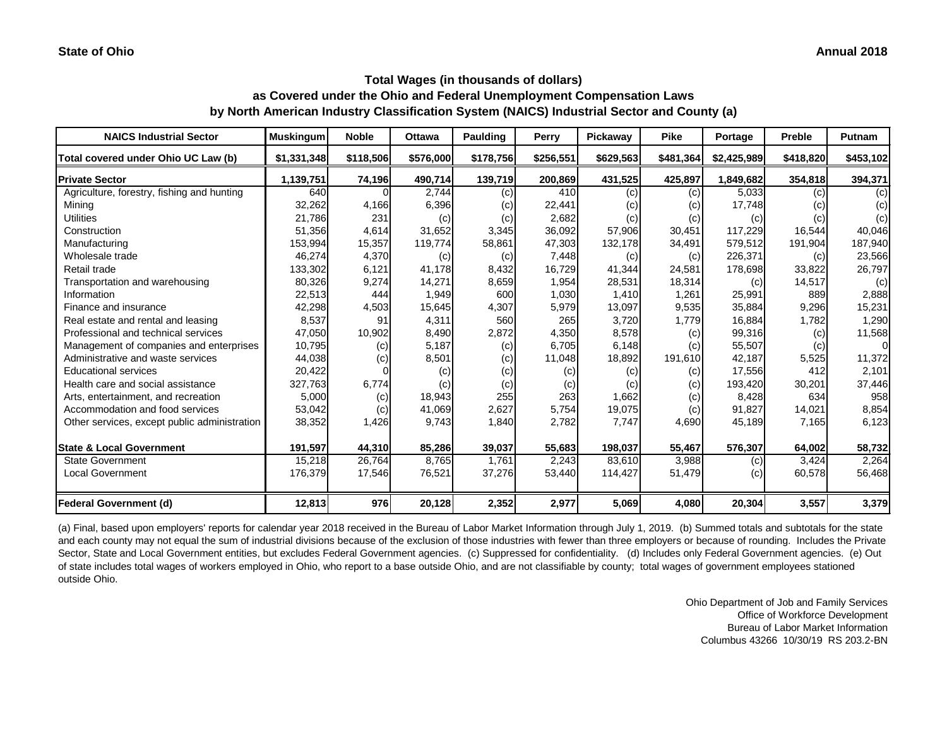| <b>NAICS Industrial Sector</b>               | <b>Muskingum</b> | <b>Noble</b> | <b>Ottawa</b> | <b>Paulding</b> | <b>Perry</b> | Pickaway  | <b>Pike</b> | Portage     | <b>Preble</b> | Putnam    |
|----------------------------------------------|------------------|--------------|---------------|-----------------|--------------|-----------|-------------|-------------|---------------|-----------|
| Total covered under Ohio UC Law (b)          | \$1,331,348      | \$118,506    | \$576,000     | \$178,756       | \$256,551    | \$629,563 | \$481,364   | \$2,425,989 | \$418,820     | \$453,102 |
| <b>Private Sector</b>                        | 1,139,751        | 74,196       | 490,714       | 139,719         | 200,869      | 431,525   | 425,897     | 1,849,682   | 354,818       | 394,371   |
| Agriculture, forestry, fishing and hunting   | 640              |              | 2,744         | (c)             | 410          | (c)       | (c)         | 5,033       | (c)           | (c)       |
| Mining                                       | 32,262           | 4,166        | 6,396         | (c)             | 22,441       | (c)       | (c)         | 17,748      | (c)           | (c)       |
| <b>Utilities</b>                             | 21,786           | 231          | (c)           | (c)             | 2,682        | (c)       | (c)         | (c)         | (c)           | (c)       |
| Construction                                 | 51,356           | 4,614        | 31,652        | 3,345           | 36,092       | 57,906    | 30,451      | 117,229     | 16,544        | 40,046    |
| Manufacturing                                | 153,994          | 15,357       | 119,774       | 58,861          | 47,303       | 132,178   | 34,491      | 579,512     | 191,904       | 187,940   |
| Wholesale trade                              | 46,274           | 4,370        | (c)           | (c)             | 7,448        | (c)       | (c)         | 226,371     | (c)           | 23,566    |
| Retail trade                                 | 133,302          | 6,121        | 41,178        | 8,432           | 16,729       | 41,344    | 24,581      | 178,698     | 33,822        | 26,797    |
| Transportation and warehousing               | 80,326           | 9,274        | 14,271        | 8,659           | 1,954        | 28,531    | 18,314      | (c)         | 14,517        | (c)       |
| Information                                  | 22,513           | 444          | 1,949         | 600             | 1,030        | 1,410     | 1,261       | 25,991      | 889           | 2,888     |
| Finance and insurance                        | 42,298           | 4,503        | 15,645        | 4,307           | 5,979        | 13,097    | 9,535       | 35,884      | 9,296         | 15,231    |
| Real estate and rental and leasing           | 8,537            | 91           | 4,311         | 560             | 265          | 3,720     | 1,779       | 16,884      | 1,782         | 1,290     |
| Professional and technical services          | 47,050           | 10,902       | 8,490         | 2,872           | 4,350        | 8,578     | (c)         | 99,316      | (c)           | 11,568    |
| Management of companies and enterprises      | 10,795           | (c)          | 5,187         | (c)             | 6,705        | 6,148     | (c)         | 55,507      | (c)           | $\Omega$  |
| Administrative and waste services            | 44,038           | (c)          | 8,501         | (c)             | 11,048       | 18,892    | 191,610     | 42,187      | 5,525         | 11,372    |
| <b>Educational services</b>                  | 20,422           |              | (c)           | (c)             | (c)          | (c)       | (c)         | 17,556      | 412           | 2,101     |
| Health care and social assistance            | 327,763          | 6,774        | (c)           | (c)             | (c)          | (c)       | (c)         | 193,420     | 30,201        | 37,446    |
| Arts, entertainment, and recreation          | 5,000            | (c)          | 18,943        | 255             | 263          | 1,662     | (c)         | 8,428       | 634           | 958       |
| Accommodation and food services              | 53,042           | (c)          | 41,069        | 2,627           | 5,754        | 19,075    | (c)         | 91,827      | 14,021        | 8,854     |
| Other services, except public administration | 38,352           | 1,426        | 9,743         | 1,840           | 2,782        | 7,747     | 4,690       | 45,189      | 7,165         | 6,123     |
| <b>State &amp; Local Government</b>          | 191,597          | 44,310       | 85,286        | 39,037          | 55,683       | 198,037   | 55,467      | 576,307     | 64,002        | 58,732    |
| <b>State Government</b>                      | 15,218           | 26,764       | 8,765         | 1,761           | 2,243        | 83,610    | 3,988       | (c)         | 3,424         | 2,264     |
| <b>Local Government</b>                      | 176,379          | 17,546       | 76,521        | 37,276          | 53,440       | 114,427   | 51,479      | (c)         | 60,578        | 56,468    |
| <b>Federal Government (d)</b>                | 12,813           | 976          | 20,128        | 2,352           | 2,977        | 5,069     | 4,080       | 20,304      | 3,557         | 3,379     |

(a) Final, based upon employers' reports for calendar year 2018 received in the Bureau of Labor Market Information through July 1, 2019. (b) Summed totals and subtotals for the state and each county may not equal the sum of industrial divisions because of the exclusion of those industries with fewer than three employers or because of rounding. Includes the Private Sector, State and Local Government entities, but excludes Federal Government agencies. (c) Suppressed for confidentiality. (d) Includes only Federal Government agencies. (e) Out of state includes total wages of workers employed in Ohio, who report to a base outside Ohio, and are not classifiable by county; total wages of government employees stationed outside Ohio.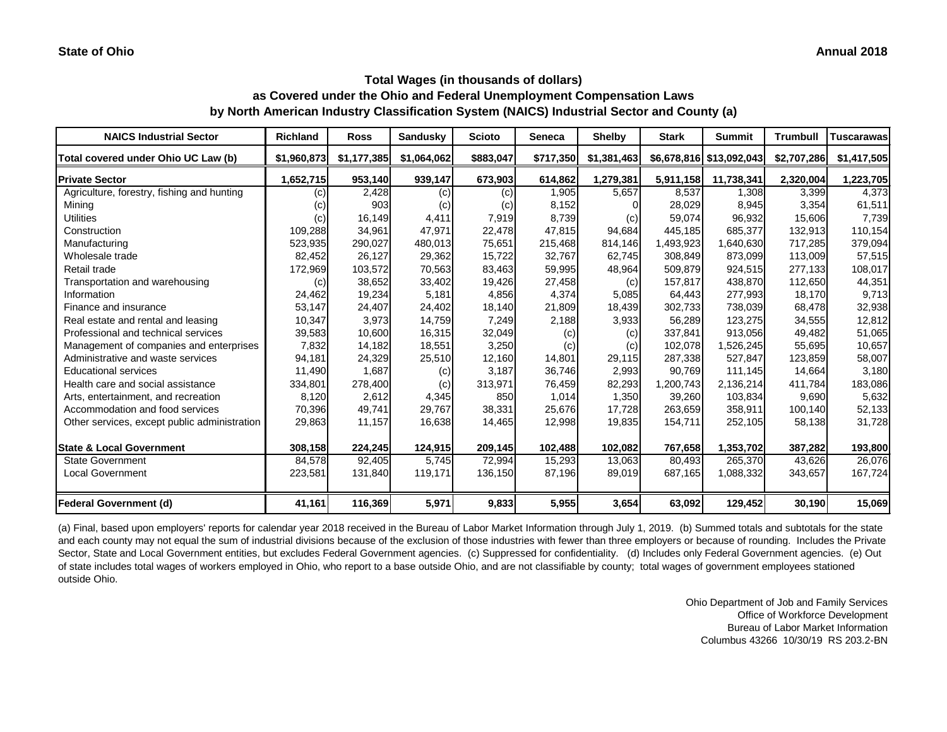| <b>NAICS Industrial Sector</b>               | <b>Richland</b> | <b>Ross</b> | <b>Sandusky</b> | <b>Scioto</b> | <b>Seneca</b> | <b>Shelby</b> | <b>Stark</b> | <b>Summit</b>            | <b>Trumbull</b> | <b>Tuscarawas</b> |
|----------------------------------------------|-----------------|-------------|-----------------|---------------|---------------|---------------|--------------|--------------------------|-----------------|-------------------|
| Total covered under Ohio UC Law (b)          | \$1,960,873     | \$1,177,385 | \$1,064,062     | \$883,047     | \$717,350     | \$1,381,463   |              | \$6,678,816 \$13,092,043 | \$2,707,286     | \$1,417,505       |
| <b>Private Sector</b>                        | 1,652,715       | 953,140     | 939,147         | 673,903       | 614,862       | 1,279,381     | 5,911,158    | 11,738,341               | 2,320,004       | 1,223,705         |
| Agriculture, forestry, fishing and hunting   | (c)             | 2,428       | (c)             | (c)           | 1,905         | 5,657         | 8,537        | 1,308                    | 3,399           | 4,373             |
| Mining                                       | (C)             | 903         | (c)             | (c)           | 8,152         |               | 28,029       | 8,945                    | 3,354           | 61,511            |
| <b>Utilities</b>                             | (c)             | 16,149      | 4,411           | 7,919         | 8,739         | (c)           | 59,074       | 96,932                   | 15,606          | 7,739             |
| Construction                                 | 109,288         | 34,961      | 47,971          | 22,478        | 47,815        | 94,684        | 445,185      | 685,377                  | 132,913         | 110,154           |
| Manufacturing                                | 523,935         | 290,027     | 480,013         | 75,651        | 215,468       | 814,146       | 1,493,923    | 1,640,630                | 717,285         | 379,094           |
| Wholesale trade                              | 82,452          | 26,127      | 29,362          | 15,722        | 32,767        | 62,745        | 308,849      | 873,099                  | 113,009         | 57,515            |
| Retail trade                                 | 172,969         | 103,572     | 70,563          | 83,463        | 59,995        | 48,964        | 509,879      | 924,515                  | 277,133         | 108,017           |
| Transportation and warehousing               | (c)             | 38,652      | 33,402          | 19,426        | 27,458        | (c)           | 157,817      | 438,870                  | 112,650         | 44,351            |
| Information                                  | 24,462          | 19,234      | 5,181           | 4,856         | 4,374         | 5,085         | 64,443       | 277,993                  | 18,170          | 9,713             |
| Finance and insurance                        | 53,147          | 24,407      | 24,402          | 18,140        | 21,809        | 18,439        | 302,733      | 738,039                  | 68,478          | 32,938            |
| Real estate and rental and leasing           | 10,347          | 3,973       | 14,759          | 7,249         | 2,188         | 3,933         | 56,289       | 123,275                  | 34,555          | 12,812            |
| Professional and technical services          | 39,583          | 10,600      | 16,315          | 32,049        | (c)           | (c)           | 337,841      | 913,056                  | 49,482          | 51,065            |
| Management of companies and enterprises      | 7,832           | 14,182      | 18,551          | 3,250         | (c)           | (c)           | 102,078      | 1,526,245                | 55,695          | 10,657            |
| Administrative and waste services            | 94,181          | 24,329      | 25,510          | 12,160        | 14,801        | 29,115        | 287,338      | 527,847                  | 123,859         | 58,007            |
| <b>Educational services</b>                  | 11,490          | 1,687       | (c)             | 3,187         | 36,746        | 2,993         | 90,769       | 111,145                  | 14,664          | 3,180             |
| Health care and social assistance            | 334,801         | 278,400     | (c)             | 313,971       | 76,459        | 82,293        | 1,200,743    | 2,136,214                | 411,784         | 183,086           |
| Arts, entertainment, and recreation          | 8,120           | 2,612       | 4,345           | 850           | 1,014         | 1,350         | 39,260       | 103,834                  | 9,690           | 5,632             |
| Accommodation and food services              | 70,396          | 49,741      | 29,767          | 38,331        | 25,676        | 17,728        | 263,659      | 358,911                  | 100,140         | 52,133            |
| Other services, except public administration | 29,863          | 11,157      | 16,638          | 14,465        | 12,998        | 19,835        | 154,711      | 252,105                  | 58,138          | 31,728            |
| <b>State &amp; Local Government</b>          | 308,158         | 224,245     | 124,915         | 209,145       | 102,488       | 102,082       | 767,658      | 1,353,702                | 387,282         | 193,800           |
| <b>State Government</b>                      | 84,578          | 92,405      | 5,745           | 72,994        | 15,293        | 13,063        | 80,493       | 265,370                  | 43,626          | 26,076            |
| <b>Local Government</b>                      | 223,581         | 131,840     | 119,171         | 136,150       | 87,196        | 89,019        | 687,165      | 1,088,332                | 343,657         | 167,724           |
| Federal Government (d)                       | 41,161          | 116,369     | 5,971           | 9,833         | 5,955         | 3,654         | 63,092       | 129,452                  | 30,190          | 15,069            |

(a) Final, based upon employers' reports for calendar year 2018 received in the Bureau of Labor Market Information through July 1, 2019. (b) Summed totals and subtotals for the state and each county may not equal the sum of industrial divisions because of the exclusion of those industries with fewer than three employers or because of rounding. Includes the Private Sector, State and Local Government entities, but excludes Federal Government agencies. (c) Suppressed for confidentiality. (d) Includes only Federal Government agencies. (e) Out of state includes total wages of workers employed in Ohio, who report to a base outside Ohio, and are not classifiable by county; total wages of government employees stationed outside Ohio.